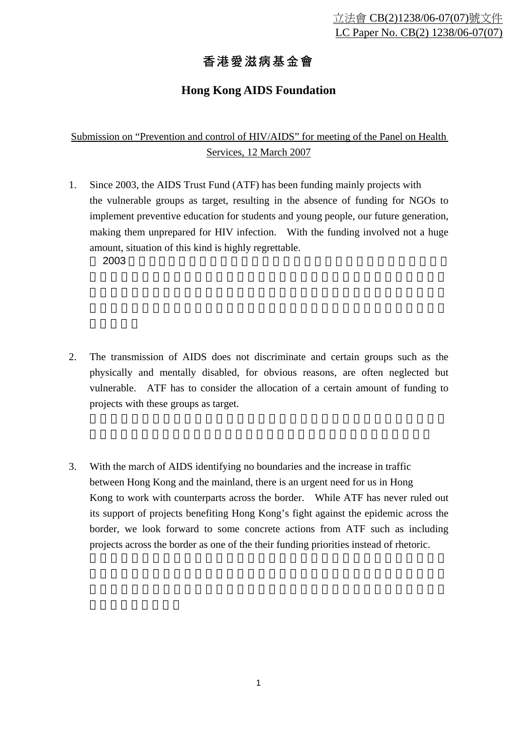## 香港愛滋病基金會

## **Hong Kong AIDS Foundation**

Submission on "Prevention and control of HIV/AIDS" for meeting of the Panel on Health Services, 12 March 2007

1. Since 2003, the AIDS Trust Fund (ATF) has been funding mainly projects with the vulnerable groups as target, resulting in the absence of funding for NGOs to implement preventive education for students and young people, our future generation, making them unprepared for HIV infection. With the funding involved not a huge amount, situation of this kind is highly regrettable.  $2003$   $\blacksquare$ 

- 2. The transmission of AIDS does not discriminate and certain groups such as the physically and mentally disabled, for obvious reasons, are often neglected but vulnerable. ATF has to consider the allocation of a certain amount of funding to projects with these groups as target.
- 3. With the march of AIDS identifying no boundaries and the increase in traffic between Hong Kong and the mainland, there is an urgent need for us in Hong Kong to work with counterparts across the border. While ATF has never ruled out its support of projects benefiting Hong Kong's fight against the epidemic across the border, we look forward to some concrete actions from ATF such as including projects across the border as one of the their funding priorities instead of rhetoric.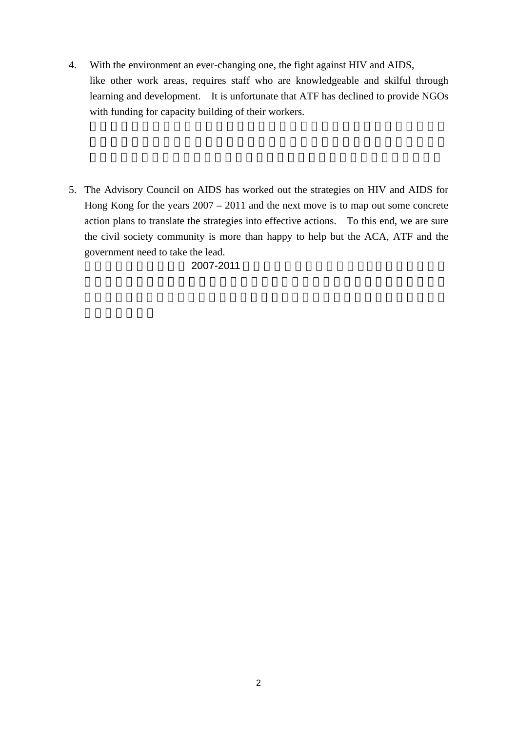- 4. With the environment an ever-changing one, the fight against HIV and AIDS, like other work areas, requires staff who are knowledgeable and skilful through learning and development. It is unfortunate that ATF has declined to provide NGOs with funding for capacity building of their workers.
- 5. The Advisory Council on AIDS has worked out the strategies on HIV and AIDS for Hong Kong for the years 2007 – 2011 and the next move is to map out some concrete action plans to translate the strategies into effective actions. To this end, we are sure the civil society community is more than happy to help but the ACA, ATF and the government need to take the lead.

2007-2011